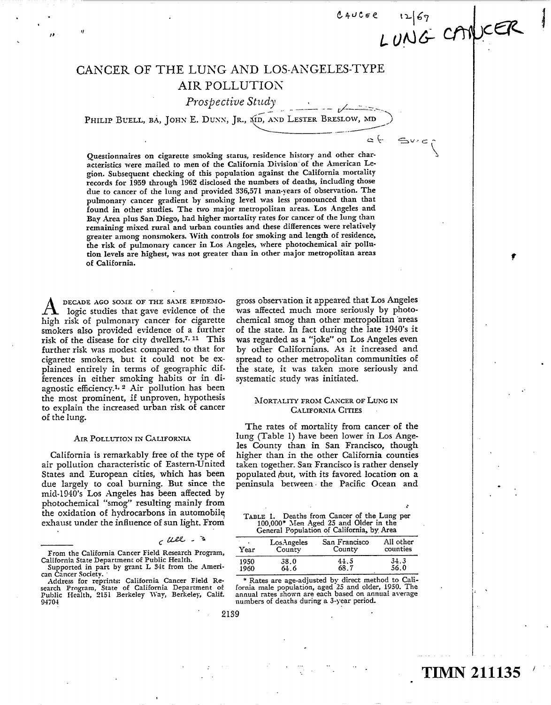## CANCER OF THE LUNG AND LOS-ANGELES-TYPE AIR POLLUTION

Prospective Study

PHILIP BUELL, BA, JOHN E. DUNN, JR., XID, AND LESTER BRESLOW, MD

Questionnaires on cigarette smoking status, residence history and other characteristics were mailed to men of the California Division"of the American Legion . Subsequent checking of this population against the California mortality records for 1959 through 1962 disclosed the numbers of deaths, including those due to cancer of the lung and provided 336,571 man-years of observation . The pulmonary cancer gradient by smoking level was less pronounced than that found in other studies. The two major metropolitan areas. Los Angeles and Bay Area plus San Diego, had higher mortality rates for cancer of the lung than remaining mixed rural and urban counties and these differences were relatively greater among nonsmokers. With controls for smoking and length of residence, the risk of pulmonary cancer in Los Angeles, where photochemical air pollution levels are highest, was not greater than in other major metropolitan areas of California.

DECADE AGO SOME OF THE SAME EPIDEMO-Iogic studies that gave evidence of the high risk of pulmonary cancer for cigarette smokers also provided evidence of a further risk of the disease for city dwellers.<sup>7, 11</sup> This further risk was modest compared to that for cigarette smokers, but it could not be explained entirely in terms of geographic differences in either smoking habits or in diagnostic efficiency.<sup>1, 2</sup> Air pollution has been the most prominent, if unproven, hypothesis to explain the increased urban risk of cancer of the lung.

 $^{\prime\prime}$ 

"

## AIR POLLUTION IN CALIFORNIA

California is remarkably free of the type of air pollution characteristic of Eastern-United States and European cities, which has been due largely to coal burning. But since the mid-1940's Los Angeles has been affected by photochemical "smog" resulting mainly from the oxidation of hydrocarbons in automobile exhaust under the influence of sun light. From

## $C$   $\mu$ ee  $-$  3

gross observation it appeared that Los Angeles was affected much more seriously by photochemical smog than other metropolitan 'areas of the state. In fact during the late 1940's it was regarded as a "joke" on Los Angeles even by other Californians . As it increased and spread to other metropolitan communities of the state, it was taken more seriously and systematic study was initiated.

 $0.40$ cse t $\Sigma$ |67

~()NGr-

`~ `=~

## MORTALITY FROM CANCER OF LUNG IN CALIFORNIA CITIES

The rates of mortality from cancer of the lung (Table 1) have been lower in Los Angeles County than in San Francisco, though higher than in the other California counties taken together. San Francisco is rather densely populated but, with its favored location on a peninsula between the Pacific Ocean and

| TABLE 1. Deaths from Cancer of the Lung per | 100,000* Men Aged 25 and Older in the<br>General Population of California, by Area |  |  |  |
|---------------------------------------------|------------------------------------------------------------------------------------|--|--|--|
|                                             |                                                                                    |  |  |  |

| Year | LosAngeles | San Francisco | All other |
|------|------------|---------------|-----------|
|      | County     | County        | counties  |
| 1950 | 38.0       | 44.5          | 34.3      |
| 1960 | 64.6       | 68.7          | 56.0      |
|      |            |               | .         |

\* Rates are age-adjusted by direct method to California male population, aged 25 and older, 1950. The annual rates shown are each based on annual average numbers of deaths during a 3-year period.

# TIMN 211135

t

From the California Cancer Field Research Program, California State Department of Public Health.

Supported in part by grant L 34t from the Amencan Cancer Society.

Address for reprints: California Cancer Field Research Program, State of California Department of<br>Public Health, 2151 Berkeley Way, Berkeley, Calif. 94704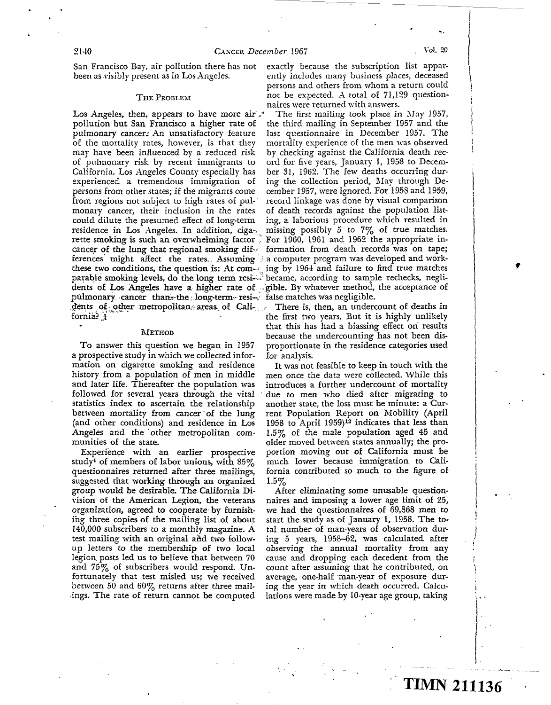a .

San Francisco Bay, air pollution there has not exactly because the subscription list appar-<br>been as visibly present as in Los Angeles. The ently includes many business places, deceased

## THE PROBLEM

Los Angeles, then, appears to have more air  $\mathscr I$ pollution but San Francisco a higher rate of pulmonary cancers An unsatisfactory feature of the mortality rates, however, is that they may have been influenced by a reduced risk of pulmonary risk by recent immigrants to California . Los Angeles County especially has experienced a tremendous immigration of persons from other states; if the migrants come from regions not subject to high rates of pul-' monary cancer, their inclusion in the rates could dilute the presumed effect of long-term ing, a laborious procedure which resulted in residence in Los Angeles. In addition, ciga- missing possibly 5 to  $7\%$  of true matches. residence in Los Angeles. In addition, ciga-, rette smoking is such an overwhelming factor  $\frac{1}{2}$  For 1960, 1961 and 1962 the appropriate in-<br>cancer of the lung that regional smoking dif- $\frac{1}{2}$  formation from death records was on tape; cancer of the lung that regional smoking differences' might affect the rates.. Assuming  $\frac{1}{2}$  a computer program was developed and workthese two conditions, the question is: At com- $\frac{1}{2}$  ing by 1964 and failure to find true matches parable smoking levels, do the long term resi--- became, according to sample rechecks, neglidents of Los Angeles have a higher rate of sgible. By whatever method, the acceptance of pulmonary cancer than the long-term resi-, false matches was negligible.

## METHOD

To answer this question we began in 1957 a prospective study in which we collected information on cigarette smoking and residence history from a population of men in middle and later life. Thereafter the population was followed for several years through the vital statistics index to ascertain the relationship between mortality from cancer of the lung (and other conditions) and residence in Los Angeles and the other metropolitan communities of the state.

Experience with an earlier prospective study<sup> $\pm$ </sup> of members of labor unions, with 85% questionnaires returned after three mailings, suggested that working through an organized group would be desirable . The California Division of the American Legion, the veterans organization, agreed to cooperate, by furnishing three copies of the mailing list of about 140,000 subscribers to a monthly magazine . A test mailing with an original and two followup letters to the membership of two local legion, posts led us to believe that between 70 and 75% of subscribers would respond. Unfortunately that test misled us; we received between 50 and  $60\%$  returns after three mailings. The rate of return cannot be computed ently includes many business places, deceased persons and others from whom a return could not be expected. A total of 71,129 question-

naires were returned with answers.<br>The first mailing took place in May 1957, the third mailing in September 1957 and the last questionnaire in December 1957. The mortality experience of the men was observed by checking against the California death record for five years, January 1, 1958 to December 31, 1962. The few deaths occurring during the collection period, May through December 1957, were ignored. For 1958 and 1959, record linkage was done by visual comparison of death records against the population list-<br>ing, a laborious procedure which resulted in

.dents of- other metropolitan:-areas of Cali-, ; . . There is, then, an undercount of deaths in . .~ ..~. . the first two years. But it is highly unlikely that this has had a biassing effect ori results because the undercounting has not been disproportionate in the residence categories used for analysis.

> It was not feasible to keep in touch with the men once the data were collected. While this introduces a further undercount of mortality due to men who died after migrating to another state, the loss must be minute: a Current Population Report on Mobility (April 1958 to April 1959)12 indicates that less than 1.5% of the male population aged 45 and older moved between states annually; the proportion moving out of California must be much lower because immigration to California contributed so much to the figure of  $1.5\%$

> After eliminating some unusable questionnaires and imposing a lower age limit of 25, we had the questionnaires of 69,868 men to start the study as of January 1, 1958. The total number of man-years of observation during 5 years, 1958-62, was calculated after observing the annual mortality from any cause and dropping each decedent from the count after assuming that he contributed, on average, one-half man-year of exposure during the year in which death occurred. Calculations were made by 10-year age group, taking

I

~ TIMN 211136

f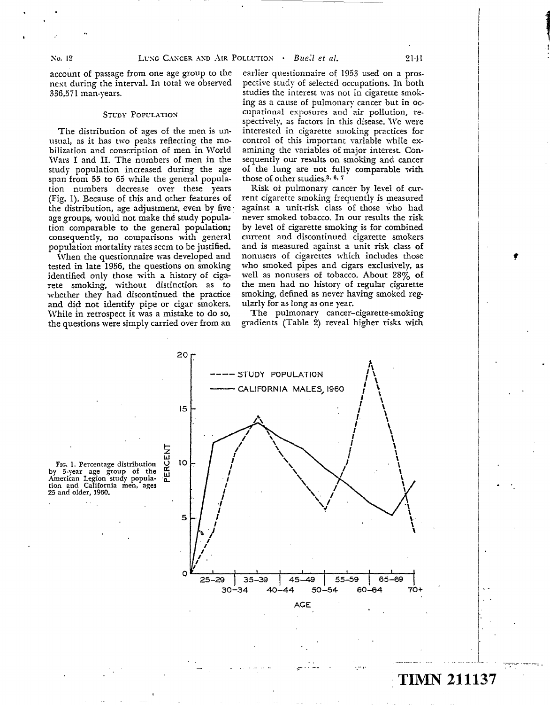account of passage from one age group to the next during the interval. In total we observed 336,571 man-years .

### STUDY POPULATION

The distribution of ages of the men is unusual, as it has two peaks reflecting the mobilization and conscription of men in World Wars I and II. The numbers of men in the study population increased during the age span from 55 to 65 while the general population numbers decrease over these years (Fig. 1) . Because of this and other features of the distribution, age adjustment, even by five age groups, would not make the study population comparable to the general population; consequently, no comparisons with general population mortality rates seem to be justified.

When the questionnaire was developed and tested in late 1956, the questions on smoking identified only those with a history of cigarete smoking, without distinction as to whether they had discontinued the practice and did not identify pipe or cigar smokers. While in retrospect it was a mistake to do so, the questions were simply carried over from an

earlier questionnaire of 1953 used on a prospective study of selected occupations . In both studies the interest was not in cigarette smoking as a cause of pulmonary cancer but in occupational exposures and air pollution, respectively, as factors in this disease. We were interested in cigarette smoking practices for control of this important variable while examining the variables of major interest. Consequently our results on smoking and cancer of the lung are not fully comparable with those of other studies.<sup>3, 6, 7</sup>

Risk ot pulmonary cancer by level of current cigarette smoking frequently is measured against a unit-risk class of those who had never smoked tobacco. In our results the risk by level of cigarette smoking is for combined current and discontinued cigarette smokers and is measured against a unit risk class of nonusers of cigarettes which includes those who smoked pipes and cigars exclusively, as well as nonusers of tobacco. About 28% of the men had no history of regular cigarette smoking, defined as never having smoked regularly for as long as one year.

The pulmonary cancer-cigarette-smoking gradients (Table 2) reveal higher risks with



FIG. 1. Percentage distribution by 5-year age group of the American Legion study population and California men, ages 25 and older, 1960.

TIMN 211137

f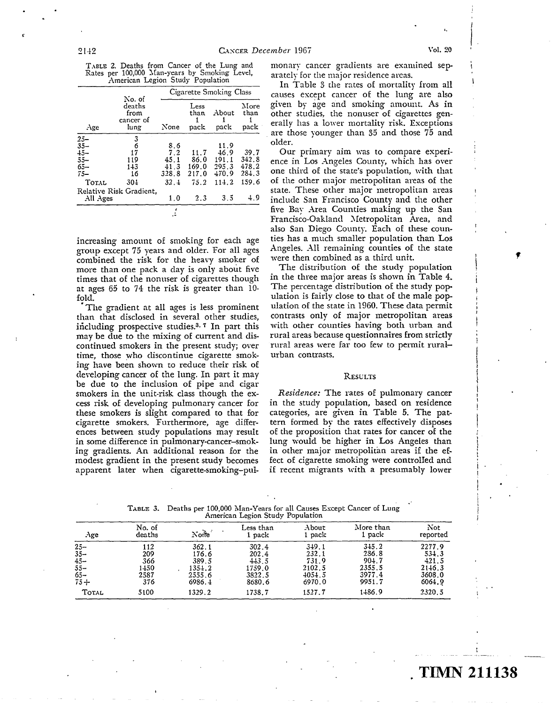f

|                                  |  | TABLE 2. Deaths from Cancer of the Lung and   |
|----------------------------------|--|-----------------------------------------------|
|                                  |  | Rates per 100,000 Man-years by Smoking Level, |
| American Legion Study Population |  |                                               |

|                 |                                               | Cigarette Smoking Class |                      |               |                      |  |  |
|-----------------|-----------------------------------------------|-------------------------|----------------------|---------------|----------------------|--|--|
| Age             | No. of<br>deaths<br>from<br>cancer of<br>lung | None                    | Less<br>than<br>pack | About<br>pack | More<br>than<br>pack |  |  |
|                 | 3                                             |                         |                      |               |                      |  |  |
| $25 - 35 -$     | 6                                             | 8.6                     |                      | 11.9          |                      |  |  |
| $\frac{15}{35}$ | 17                                            | 7.2                     | 11.7                 | 46.9          | 39.7                 |  |  |
|                 | 119                                           | 45.1                    | 86.0                 | 191.1         | 342.8                |  |  |
| $65 -$          | 143                                           | 41.3                    | 169.0                | 295.3         | 478.2                |  |  |
| $75 -$          | 16                                            | 328.8                   | 217.0                | 470.9         | 284.3                |  |  |
| TOTAL           | 304                                           | 32.4                    | 75.2                 | 114.2         | 159.6                |  |  |
|                 | Relative Risk Gradient,                       |                         |                      |               |                      |  |  |
| All Ages        |                                               | 1.0                     | 2.3                  | 3.5           | 4.9                  |  |  |
|                 |                                               |                         |                      |               |                      |  |  |

increasing amount of smoking for each age group except 75 years and older. For all ages combined the risk for the heavy smoker of more than one pack a day is only about five times that of the nonuser of cigarettes though at ages 65 to 74 the risk is greater than 10 fold.

The gradient at all ages is less prominent than that disclosed in several other studies, including prospective studies.<sup>3,  $7$ </sup> In part this may be due to the mixing of current and discontinued smokers in the present study; over time, those who discontinue cigarette smoking have been shown to reduce their risk of developing cancer of the lung. In part it may be due to the inclusion of pipe and cigar smokers in the unit-risk class though the excess risk of developing pulmonary cancer for these smokers is slight compared to that for cigarette smokers. Furthermore, age differences between study populations may result in some difference in pulmonary-cancer-smoking gradients. An additional reason for the modest gradient in the present study becomes apparent later when cigarette-smoking-pulmonary cancer gradients are examined separately for the major residence areas.

causes except cancer of the lung are also given by age and smoking amount. As in other studies, the nonuser of cigarettes gen- $\frac{1}{\text{Age}}$  cancer of  $\frac{1}{\text{age}}$  are those vounger than 35 and those 75 and the 15 and the 15 and the 15 and the 15 and the 15 and the 15 and the 15 and the 15 and the 15 and the 15 and the 15 and the 15 and the 15 and In Table 3 the rates of mortality from all are those younger than 35 and those 75 and older.

> Our primary aim was to compare experience in Los Angeles County, which has over ° one third of the state's population, with that of the other major metropolitan areas of the state. These other major metropolitan areas include San Francisco County and the other five Bav Area Counties making up the San Francisco-Oakland Metropolitan Area, and also San Diego County. Each of these counties has a much smaller population than Los Angeles. All remaining counties of the state were then combined as a third unit.

> The distribution of the study population in the three major areas is shown in Table 4. The percentage distribution of the study population is fairly close to that of the male population of the state in 1960 . These data permit contrasts only of major metropolitan areas with other counties having both urban and rural areas because questionnaires from strictly rural areas were far too few to permit ruralurban contrasts.

## **RESULTS**

Residence: The rates of pulmonary cancer in the study population, based on residence categories, are given in Table 5. The pattern formed by the rates effectively disposes of the proposition that rates for cancer of the lung would be higher in Los Angeles than in other major metropolitan areas if the effect of cigarette smoking were controlled and if recent migrants with a presumably lower

| Age.        | No. of<br>deaths | None   | Less than<br>1 pack | About<br>1 pack | More than<br>1 pack | Not<br>reported |
|-------------|------------------|--------|---------------------|-----------------|---------------------|-----------------|
|             | 112              | 362.1  | 302.4               | 349.1           | 345.2               | 2277.9          |
| $25 - 35 -$ | 209              | 176.6  | 202.4               | 232.1           | 286.8               | 534.3           |
| $45 -$      | 366              | 389.5  | 443.5               | 731.9           | 904.7               | 421.5           |
| $55 -$      | 1450             | 1354.2 | 1759.0              | 2102.5          | 2355.5              | 2146.3          |
| $65 -$      | 2587             | 2555.6 | 3822.5              | 4054.5          | 3977.4              | 3608.0          |
| $75 +$      | 376              | 6986.4 | 8680.6              | 6970.0          | 9951.7              | 6064.9          |
| TOTAL       | 5100             | 1329.2 | 1738.7              | 1527.7          | 1486.9              | 2320.5          |

TABLE 3. Deaths per 100,000 Man-Years for all Causes Except Cancer of Lung American Legion Study Population

# . TIMN 211138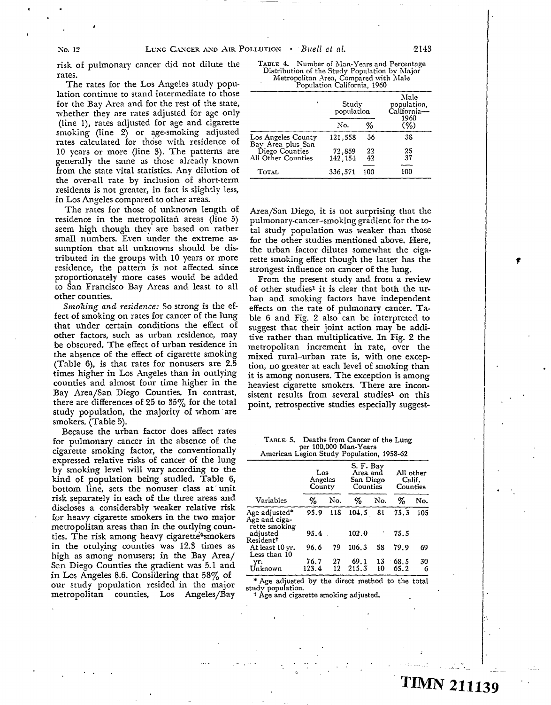t

risk of pulmonary cancer did not dilute the rates .

The rates for the Los Angeles study population continue to stand intermediate to those for the Bay Area and for the rest of the state, whether they are rates adjusted for age only (line 1), rates adjusted for age and cigarette smoking (line 2) or age-smoking adjusted rates calculated for those with residence of 10 years or more (line 3). The patterns are generally the same as those already known from the state vital statistics. Any dilution of the over-all rate by inclusion of short-term residents is not greater, in fact is slightly less, in Los Angeles compared to other areas.

The rates for those of unknown length of residence in the metropolitan areas (line 5) seem high though they are based on rather small numbers. Even under the extreme assumption that all unknowns should be distributed in the groups with 10 years or more residence, the pattern is not affected since proportionately more cases would be added to San Francisco Bay Areas and least to all other counties.

Smoking and residence: So strong is the effect of smoking on rates for cancer of the lung that uhder certain conditions the effect of other factors, such as urban residence, may be obscured. The effect of urban residence in the absence of the effect of cigarette smoking (Table 6), is that rates for nonusers are  $2.5$ times higher in Los Angeles than in outlying counties and almost four time higher in the Bay Area/San Diego Counties. In contrast, there are differences of 25 to  $35\%$  for the total study population, the majority of whom are smokers. (Table 5).

Because the urban factor does affect rates for pulmonary cancer in the absence of the cigarette smoking factor, the conventionally expressed relative risks of cancer of the lung by smoking level will vary according to the kind of population being studied. Table 6, bottom line, sets the nonuser class at' unit risk separately in each of the three areas and discloses a considerably weaker relative risk for heavy cigarette smokers in the two major metropolitan areas than in the outlying counties. The risk among heavy cigarette<sup>2</sup>smokers in the otulying counties was 12.3 times as high as among nonusers; in the Bay Area/ San Diego Counties the gradient was 5.1 and in Los Angeles 8.6. Considering that  $58\%$  of our study population resided in the major metropolitan counties, Los Angeles/Bay

TABLE 4. Number of Man-Years and Percentage<br>Distribution of the Study Population by Major<br>Metropolitan Area, Compared with Male Population California, 1960

|                                         | Study<br>population |          | Male<br>population.<br>California-<br>1960 |
|-----------------------------------------|---------------------|----------|--------------------------------------------|
|                                         | No.                 | %        | (%)                                        |
| Los Angeles County<br>Bay Area plus San | 121,558             | 36       | 38                                         |
| Diego Counties<br>All Other Counties    | 72,859<br>142.154   | 22<br>42 | 25<br>37                                   |
| <b>TOTAL</b>                            | 336,571             | 100      | 100                                        |

Area/San Diego, it is not surprising that the pulmonary-cancer-smoking gradient for the total study population was weaker than those for the other studies mentioned above. Here, the urban factor dilutes somewhat the cigarette smoking effect though the latter has the strongest influence on cancer of the lung.

From the present study and from a review of other studies' it is clear that both the urban and smoking factors have independent effects on the rate of pulmonary cancer. Ta ble 6 and Fig. 2 also can be interpreted to suggest that their joint action may be additive rather than multiplicative. In Fig. 2 the metropolitan increment in rate, over the mixed rural-urban rate is, with one exception, no greater at each level of smoking than it is among nonusers. The exception is among heaviest cigarette smokers. There are inconsistent results from several studies<sup>1</sup> on this point, retrospective studies especially suggest-

| TABLE 5. | Deaths from Cancer of the Lung           |  |
|----------|------------------------------------------|--|
|          | per 100,000 Man-Years                    |  |
|          | American Legion Study Population 1958-62 |  |

| American Legion Study Population, 1958-02       |                          |          |                                                |          |                                 |         |
|-------------------------------------------------|--------------------------|----------|------------------------------------------------|----------|---------------------------------|---------|
|                                                 | Los<br>Angeles<br>County |          | S. F. Bav<br>Area and<br>San Diego<br>Counties |          | All other<br>Calif.<br>Counties |         |
| Variables                                       | $\%$                     | No.      | %                                              | No.      | ℅                               | No.     |
| Age adjusted*<br>Age and ciga-<br>rette smoking | 95.9                     | 118      | 104.5                                          | 81       | 75.3                            | 105     |
| adiusted<br>Resident <sup>†</sup>               | 95.4                     |          | 102.0                                          |          | 75.5                            |         |
| At least 10 vr.<br>Less than 10                 | 96.6                     | 79       | 106.3                                          | 58       | 79.9                            | 69      |
| vr.<br>Unknown                                  | 76.7<br>123.4            | 27<br>12 | 69.1<br>215.3                                  | 13<br>10 | 68.5<br>65.2                    | 30<br>6 |

\* Age adjusted by the direct method to the total study population.

t Age and cigarette smoking adjusted.

f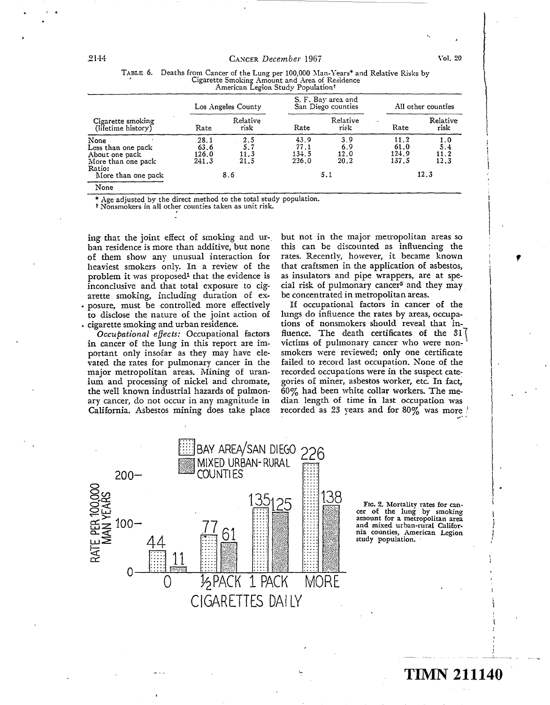# 2144 CANCER December 1967 Vol. 20

|                                                                              |                                | Cigarette Smoking Amount and Area of Residence<br>American Legion Study Population <sup>†</sup><br>S. F. Bay area and<br>San Diego counties<br>Los Angeles County |                                |                            | All other counties              |                            |
|------------------------------------------------------------------------------|--------------------------------|-------------------------------------------------------------------------------------------------------------------------------------------------------------------|--------------------------------|----------------------------|---------------------------------|----------------------------|
| Cigarette smoking<br>(lifetime history)                                      | Rate                           | Relative<br>risk                                                                                                                                                  | Rate                           | Relative<br>risk           | $\mathbf{r}_\mathrm{d}$<br>Rate | Relative<br>risk           |
| None<br>Less than one pack<br>About one pack<br>More than one pack<br>Ratio: | 28.1<br>63.6<br>126.0<br>241.3 | 2.5<br>5.7<br>11.3<br>21.5                                                                                                                                        | 43.9<br>77.1<br>134.5<br>226.0 | 3.9<br>6.9<br>12.0<br>20.2 | 11.2<br>61.0<br>124.9<br>137.5  | 1.0<br>5.4<br>11.2<br>12.3 |
| More than one pack<br>None                                                   |                                | 8.6                                                                                                                                                               |                                | 5.1                        |                                 | 12.3                       |

# TABLE 6. Deaths from Cancer of the Lung per 100,000 Man-Years\* and Relative Risks by

Age adjusted by the direct method to the total study population.

t Nonsmokers in all other counties taken as unit risk .

ing that the joint effect of smoking and urban residence is more than additive, but none of them show any unusual interaction for heaviest smokers only. In a review of the problem it was proposed' that the evidence is inconclusive and that total exposure to cigarette smoking, including duration of ex-• posure, must be controlled more effectively to disclose the nature of the joint action of . cigarette smoking and urban residence .

Occupational effects: Occupational factors in cancer of the lung in this report are important only insofar as they may have elevated the rates for pulmonary cancer in the major metropolitan areas. Mining of uranium and processing of nickel and chromate, the well known industrial hazards of pulmonary cancer, do not occur in any magnitude in California. Asbestos mining does take place

but not in the major metropolitan areas so this can be discounted as influencing the rates. Recently, however, it became known that craftsmen in the application of asbestos, as insulators and pipe wrappers, are at special risk of pulmonary cancer5 and they may be concentrated in metropolitan areas.

If occupational factors in cancer of the lungs do influence the rates by areas, occupations of nonsmokers should reveal that influence. The death certificates of the 31 victims of pulmonary cancer who were non- ' smokers were reviewed; only one certificate failed to record last occupation. None of the recorded occupations were in the suspect categories of miner, asbestos worker, etc. In fact, 60% had been white collar workers. The median length of time in last occupation was recorded as 23 years and for  $80\%$  was more  $\prime$ 



Ftc. 2. Mortality rates for can-cer of the lung by smoking amount for a metropolitan area and mixed urban-rural CaIifornia counties, American Legion<br>study population.

t

# TIMN 211140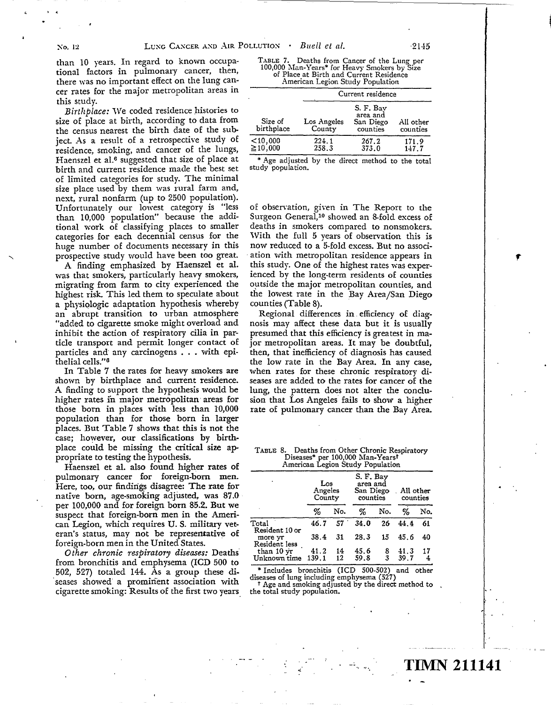.

than 10 years. In regard to known occupational factors in pulmonary cancer, then, there was no important effect on the lung cancer rates for the major metropolitan areas in this study.

Birthplace: We coded residence histories to size of place at birth, according to data from the census nearest the birth date of the subject. As a result of a retrospective study of residence, smoking, and cancer of the lungs, Haenszel et al.<sup>6</sup> suggested that size of place at birth and current residence made the best set of limited categories for study. The minimal size place used by them was rural farm and, next, rural nonfarm (up to 2500 population). Unfortunately our lowest category is "less than 10,000 population" because the additional work of classifying places to smaller categories for each decennial census for the huge number of documents necessary in this prospective study would have been too great.

A finding emphasized by Haenszel et al. was that smokers, particularly heavy smokers, migrating from farm to city experienced the highest risk. This led them to speculate about a physiologic adaptation hypothesis whereby an abrupt transition to urban atmosphere "added to cigarette smoke might overload and inhibit the action of respiratory cilia in particle transport and permit longer contact of particles and' any carcinogens . . . with epithelial cells ."6

In Table 7 the rates for heavy smokers are shown by birthplace and current residence. A finding to support the hypothesis would be higher rates in major metropolitan areas for those born in places with less than 10,000 population than for those born in larger places. But Table 7 shows that this is not the case; however, our classifications by birthplace could be missing the critical size appropriate to testing the hypothesis.

Haenszel et al. also found higher rates of pulmonary cancer for foreign-born men. Here, too, our findirigs disagree: The rate for native born, age-smoking adjusted, was 87.0 per 100,000 and for foreign born 85.2. But we suspect that foreign-born men in the American Legion, which requires U.S. military veteran's status, may not be represen  $\begin{array}{c} \text{h requires U.}\ \text{s} \ \text{y not be rep} \ \text{in the United}\ \text{s} \end{array}$ Hative of foreign-born men in the United States.

Other chronic respiratory diseases: Deaths from bronchitis and emphysema (ICD 500 to 502, 527) totaled 144. As a group these diseases showed' a prominent association with cigarette smoking: Results of the first two years

| TABLE 7. Deaths from Cancer of the Lung per  |
|----------------------------------------------|
| 100,000 Man-Years* for Heavy Smokers by Size |
| of Place at Birth and Current Residence      |
| American Legion Study Population             |

|                             | Current residence     |                                                |                       |  |  |  |
|-----------------------------|-----------------------|------------------------------------------------|-----------------------|--|--|--|
| Size of<br>birthplace       | Los Angeles<br>County | S. F. Bav<br>area and<br>San Diego<br>counties | All other<br>counties |  |  |  |
| $<$ 10,000<br>$\geq$ 10,000 | 224.1<br>258.3        | 267.2<br>373.0                                 | 171.9<br>147.7        |  |  |  |

\* Age adjusted by the direct method to the total study population.

of observation, given in The Report to the Surgeon General,<sup>10</sup> showed an 8-fold excess of deaths in smokers compared to nonsmokers. With the full 5 years of observation this is now reduced to a 5-fold excess. But no association with metropolitan residence appears in this study. One of the highest rates was experienced by the long-term residents of counties outside the major metropolitan counties, and the lowest rate in the Bay Area/San Diego counties (Table 8).

Regional differences in efficiency of diagnosis may affect these data but it is usually presumed that this efficiency is greatest in major metropolitan areas. It may be doubtful, then, that inefficiency of diagnosis has caused the low rate in the Bay Area. In any case, when rates for these chronic respiratory diseases are added to the rates for cancer of the lung, the pattern does not alter the conclusion that Los Angeles fails to show a higher rate of pulmonary cancer than the Bay Area.

| TABLE 8. Deaths from Other Chronic Respiratory |
|------------------------------------------------|
| Diseases* per 100,000 Man-Yearst               |
| American Legion Study Population               |

|                                            | Los<br>Angeles<br>County |                 | S. F. Bay<br>area and<br>San Diego<br>counties |        | All other<br>counties |         |
|--------------------------------------------|--------------------------|-----------------|------------------------------------------------|--------|-----------------------|---------|
|                                            | %                        | No.             | %                                              | No.    | %                     | No.     |
| Total                                      | 46.7                     | 57 <sup>°</sup> | 34.0                                           | 26     | 44.4                  | 61      |
| Resident 10 or<br>more yr<br>Resident less | 38.4                     | 31              | 28.3                                           | 15     | 45.6                  | 40      |
| than 10 yr<br>Unknown time                 | 41.2<br>139.1            | 14<br>12        | 45.6<br>59.8                                   | 8<br>3 | 41.3<br>39.7          | 17<br>4 |

\* Includes bronchitis (ICD 500-502) and other diseases of lung including emphysema (527)

t Age and smoking adjusted by the direct method to the total study population.

f

# IMN 211141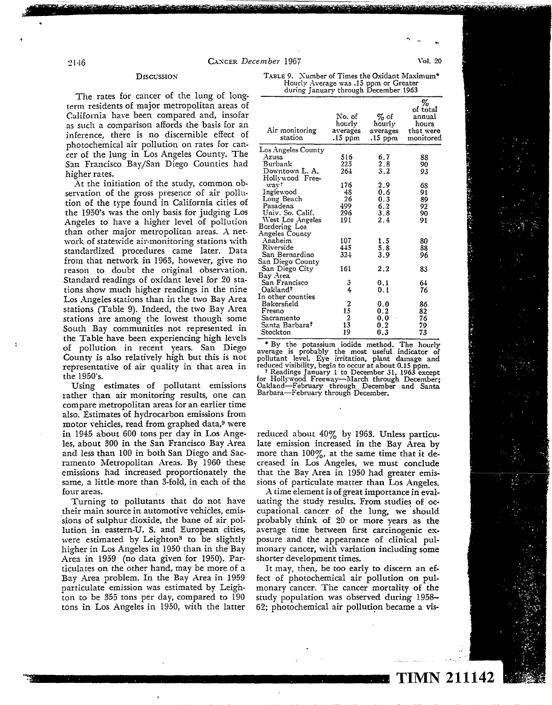## 2146 CANCER *December* 1967 Vol. 20

The rates for cancer of the lung of longterm residents of major metropolitan areas of California have been compared and, insofar as such a comparison affords the basis for an inference, there is no discernible effect of photochemical air pollution on rates for cancer of the lung in Los Angeles County. The San Francisco Bay/San Diego Counties had higher rates.

At the initiation of the study, common observation of the gross presence of air pollution of the type found in California cities of the 1950's was the only basis for judging Los Angeles to have a higher level of pollution than other major metropolitan areas . A network of statewide air-monitoring stations with standardized procedures came later. Data from that network in 1963, however, give no reason to doubt the original observation. Standard readings of oxidant level for 20 stations show much higher readings in the nine Los Angeles stations than in the two Bay Area stations (Table 9). Indeed, the two Bay Area stations are among the lowest though some South Bay communities not represented in the Table have been experiencing high levels of pollution in recent years. San Diego County is also relatively high but this is not representative of air quality in that area in the 1950's.

Using estimates of pollutant emissions rather than air monitoring results, one can compare metropolitan areas for an earlier time also. Estimates of hydrocarbon emissions from motor vehicles, read from graphed data,<sup>9</sup> were in 1945 about 600 tons per day in Los Angeles, about 300 in the San Francisco Bay Area and less than 100 in both San Diego and Sacramento Metropolitan Areas. By 1960 these emissions had increased proportionately the same, a little- more than 3-fold, in each of the four areas.

Turning to pollutants that do not have their main source in automotive vehicles, emissions of sulphur dioxide, the bane of air pollution in eastern-U. S. and European cities, were estimated by Leighton<sup>8</sup> to be slightly higher in Los Angeles in 1950 than in the Bay Area in 1959 (no data given for 1950). Particulates on the other hand, may be more of a Bay Area problem. In the Bay Area in 1959 particulate emission was estimated by Leighton to be 355 tons per day, compared to 190 tons in Los Angeles in 1950, with the latter

| Discussion                  | TABLE 9. Number of Times the Oxidant Maximum* |
|-----------------------------|-----------------------------------------------|
|                             | Hourly Average was .15 ppm or Greater         |
| sangan of the lung of lang- | during January through December 1963          |

| Air monitoring<br>station | No. of<br>hourlv<br>averages<br>.15 ppm           | % of<br>hourly<br>averages<br>.15 ppm | %<br>of total<br>annual<br>hours<br>that were<br>monitored |
|---------------------------|---------------------------------------------------|---------------------------------------|------------------------------------------------------------|
| Los Angeles County        |                                                   |                                       |                                                            |
| Azusa                     | 516                                               | 6.7                                   | 88                                                         |
| Burbank                   | 225                                               | 2.8                                   | 90                                                         |
| Downtown L. A.            | $26+$                                             | 3.2                                   | 93                                                         |
| Hollywood Free-           |                                                   |                                       |                                                            |
| wav†                      | 176                                               | 2.9                                   | 68                                                         |
| Inglewood                 | 48                                                | 0.6                                   | 91                                                         |
| Long Beach                | 26                                                | 0.3                                   | 89                                                         |
| Pasadena                  | 499                                               | 6.2                                   | 92                                                         |
| Univ. So. Calif.          | 296                                               | 3.8                                   | 90                                                         |
| West Los Angeles          | 191                                               | 2.4                                   | 91                                                         |
| Bordering Los             |                                                   |                                       |                                                            |
| Angeles County            |                                                   |                                       |                                                            |
| Anaheim                   | 107                                               | 1.5                                   | 80                                                         |
| Riverside                 | 445                                               | 5.8                                   | 88                                                         |
| San Bernardino            | 324                                               | 3.9                                   | 96                                                         |
| San Diego County          |                                                   |                                       |                                                            |
| San Diego City            | 161                                               | 2.2                                   | 83                                                         |
| Bay Area                  |                                                   |                                       |                                                            |
| San Francisco             | 3<br>4                                            | 0.1                                   | 64                                                         |
| Oakland†                  |                                                   | 0.1                                   | 76                                                         |
| In other counties         |                                                   |                                       |                                                            |
| Bakersfield               |                                                   | 0.0                                   | 86                                                         |
| Fresno                    |                                                   | 0.2                                   | 82                                                         |
| Sacramento                | $\begin{array}{c} 2 \\ 15 \\ 2 \\ 13 \end{array}$ | 0,0                                   | 76                                                         |
| Santa Barbara†            |                                                   | 0.2                                   | 79                                                         |
| Stockton                  | 19                                                | 0.3                                   | 73                                                         |
|                           |                                                   |                                       |                                                            |

Fig. the potassium iodide method. The hourly<br>average is probably the most useful indicator of<br>pollutant level. Eye irritation, plant damage and<br>reduced visibility, begin to occur at about 0.15 ppm.<br> $\tau$  Readings January 1

reduced about 40% by 1963. Unless particulate emission increased in the Bay Area by more than  $100\%$ , at the same time that it decreased in Los Angeles, we must conclude that the Bay Area in 1950 had greater emissions of particulate matter than Los Angeles.

A time element is of great importance in evaluating the study results. From studies of occupational cancer of the lung, we should probably think of 20 or more years as the average time between first carcinogenic exposure and the appearance of clinical pulmonary cancer, with variation including some shorter development times.

It may, then, be too early to discern an effect of photochemical air pollution on pulmonary cancer. The cancer mortality of the study population was observed during 1958- 62; photochemical air pollution became a vis-